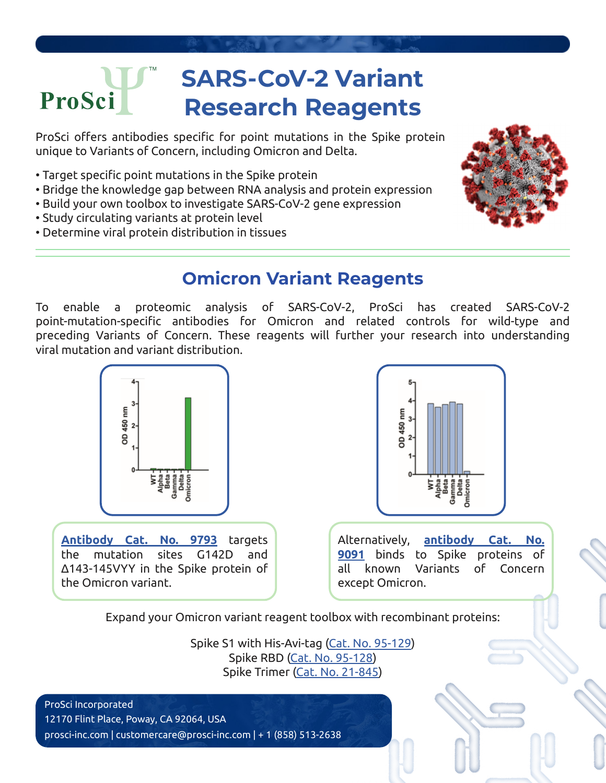## **SARS-CoV-2 Variant**  ProSci **Research Reagents**

ProSci offers antibodies specific for point mutations in the Spike protein unique to Variants of Concern, including Omicron and Delta.

- Target specific point mutations in the Spike protein
- Bridge the knowledge gap between RNA analysis and protein expression
- Build your own toolbox to investigate SARS-CoV-2 gene expression
- Study circulating variants at protein level
- Determine viral protein distribution in tissues



## **Omicron Variant Reagents**

To enable a proteomic analysis of SARS-CoV-2, ProSci has created SARS-CoV-2 point-mutation-specific antibodies for Omicron and related controls for wild-type and preceding Variants of Concern. These reagents will further your research into understanding viral mutation and variant distribution.



**[Antibody Cat. No. 9793](https://www.prosci-inc.com/product/sars-cov-2-covid-19-spike-g142d-143-145vyy-antibody-omicron-9793/)** targets the mutation sites G142D and Δ143-145VYY in the Spike protein of the Omicron variant.



Alternatively, **[antibody Cat. No.](https://www.prosci-inc.com/product/sars-cov-2-covid-19-spike-antibody-cleavage-site-9091/) [9091](https://www.prosci-inc.com/product/sars-cov-2-covid-19-spike-antibody-cleavage-site-9091/)** binds to Spike proteins of all known Variants of Concern except Omicron.

Expand your Omicron variant reagent toolbox with recombinant proteins:

Spike S1 with His-Avi-tag [\(Cat. No. 95-129\)](https://www.prosci-inc.com/product/sars-cov-2-covid-19-omicron-variant-spike-s1-his-avi-tag-recombinant-protein-95-129/) Spike RBD [\(Cat. No. 95-128\)](https://www.prosci-inc.com/product/sars-cov-2-covid-19-omicron-variant-spike-rbd-his-avi-tag-recombinant-protein-95-128/) Spike Trimer [\(Cat. No. 21-845\)](https://www.prosci-inc.com/product/sars-cov-2-covid-19-omicron-variant-b-1-1-529-spike-trimer-recombinant-protein-21-845/)